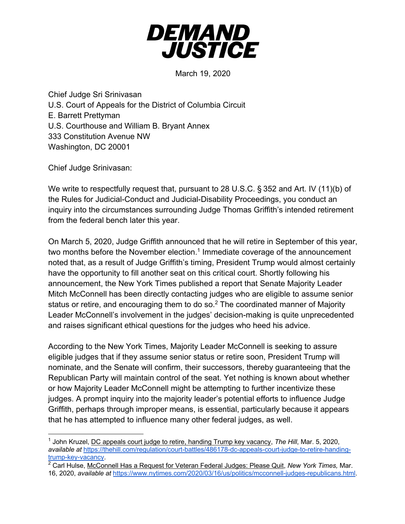

March 19, 2020

Chief Judge Sri Srinivasan U.S. Court of Appeals for the District of Columbia Circuit E. Barrett Prettyman U.S. Courthouse and William B. Bryant Annex 333 Constitution Avenue NW Washington, DC 20001

Chief Judge Srinivasan:

We write to respectfully request that, pursuant to 28 U.S.C. § 352 and Art. IV (11)(b) of the Rules for Judicial-Conduct and Judicial-Disability Proceedings, you conduct an inquiry into the circumstances surrounding Judge Thomas Griffith's intended retirement from the federal bench later this year.

On March 5, 2020, Judge Griffith announced that he will retire in September of this year, two months before the November election.<sup>1</sup> Immediate coverage of the announcement noted that, as a result of Judge Griffith's timing, President Trump would almost certainly have the opportunity to fill another seat on this critical court. Shortly following his announcement, the New York Times published a report that Senate Majority Leader Mitch McConnell has been directly contacting judges who are eligible to assume senior status or retire, and encouraging them to do so.<sup>2</sup> The coordinated manner of Majority Leader McConnell's involvement in the judges' decision-making is quite unprecedented and raises significant ethical questions for the judges who heed his advice.

According to the New York Times, Majority Leader McConnell is seeking to assure eligible judges that if they assume senior status or retire soon, President Trump will nominate, and the Senate will confirm, their successors, thereby guaranteeing that the Republican Party will maintain control of the seat. Yet nothing is known about whether or how Majority Leader McConnell might be attempting to further incentivize these judges. A prompt inquiry into the majority leader's potential efforts to influence Judge Griffith, perhaps through improper means, is essential, particularly because it appears that he has attempted to influence many other federal judges, as well.

<sup>1</sup> John Kruzel, DC appeals court judge to retire, handing Trump key vacancy, *The Hill*, Mar. 5, 2020, *available at* https://thehill.com/regulation/court-battles/486178-dc-appeals-court-judge-to-retire-handingtrump-key-vacancy.

<sup>2</sup> Carl Hulse, McConnell Has a Request for Veteran Federal Judges: Please Quit, *New York Times,* Mar. 16, 2020, *available at* https://www.nytimes.com/2020/03/16/us/politics/mcconnell-judges-republicans.html.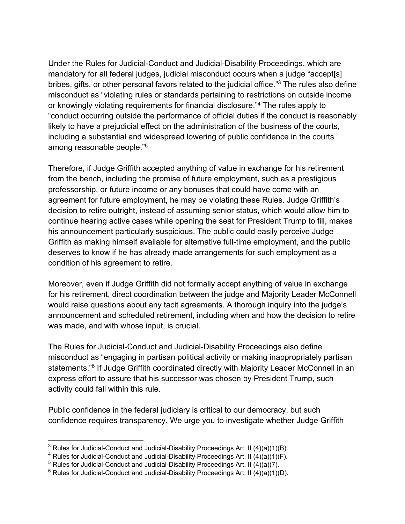Under the Rules for Judicial-Conduct and Judicial-Disability Proceedings, which are mandatory for all federal judges, judicial misconduct occurs when a judge "accept[s] bribes, gifts, or other personal favors related to the judicial office."<sup>3</sup> The rules also define misconduct as "violating rules or standards pertaining to restrictions on outside income or knowingly violating requirements for financial disclosure."4 The rules apply to "conduct occurring outside the performance of official duties if the conduct is reasonably likely to have a prejudicial effect on the administration of the business of the courts, including a substantial and widespread lowering of public confidence in the courts among reasonable people."5

Therefore, if Judge Griffith accepted anything of value in exchange for his retirement from the bench, including the promise of future employment, such as a prestigious professorship, or future income or any bonuses that could have come with an agreement for future employment, he may be violating these Rules. Judge Griffith's decision to retire outright, instead of assuming senior status, which would allow him to continue hearing active cases while opening the seat for President Trump to fill, makes his announcement particularly suspicious. The public could easily perceive Judge Griffith as making himself available for alternative full-time employment, and the public deserves to know if he has already made arrangements for such employment as a condition of his agreement to retire.

Moreover, even if Judge Griffith did not formally accept anything of value in exchange for his retirement, direct coordination between the judge and Majority Leader McConnell would raise questions about any tacit agreements. A thorough inquiry into the judge's announcement and scheduled retirement, including when and how the decision to retire was made, and with whose input, is crucial.

The Rules for Judicial-Conduct and Judicial-Disability Proceedings also define misconduct as "engaging in partisan political activity or making inappropriately partisan statements."<sup>6</sup> If Judge Griffith coordinated directly with Majority Leader McConnell in an express effort to assure that his successor was chosen by President Trump, such activity could fall within this rule.

Public confidence in the federal judiciary is critical to our democracy, but such confidence requires transparency. We urge you to investigate whether Judge Griffith

 $3$  Rules for Judicial-Conduct and Judicial-Disability Proceedings Art. II (4)(a)(1)(B).

<sup>&</sup>lt;sup>4</sup> Rules for Judicial-Conduct and Judicial-Disability Proceedings Art. II (4)(a)(1)(F).

 $5$  Rules for Judicial-Conduct and Judicial-Disability Proceedings Art. II (4)(a)(7).

 $6$  Rules for Judicial-Conduct and Judicial-Disability Proceedings Art. II (4)(a)(1)(D).